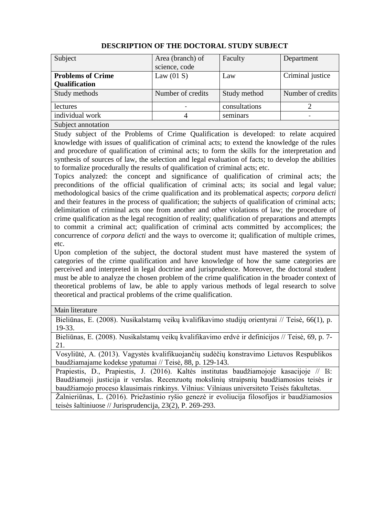| Subject                  | Area (branch) of  | Faculty       | Department        |
|--------------------------|-------------------|---------------|-------------------|
|                          | science, code     |               |                   |
| <b>Problems of Crime</b> | Law $(01 S)$      | Law           | Criminal justice  |
| <b>Qualification</b>     |                   |               |                   |
| Study methods            | Number of credits | Study method  | Number of credits |
| lectures                 |                   | consultations |                   |
| individual work          | 4                 | seminars      |                   |
| Subject annotation       |                   |               |                   |

## **DESCRIPTION OF THE DOCTORAL STUDY SUBJECT**

Study subject of the Problems of Crime Qualification is developed: to relate acquired knowledge with issues of qualification of criminal acts; to extend the knowledge of the rules and procedure of qualification of criminal acts; to form the skills for the interpretation and synthesis of sources of law, the selection and legal evaluation of facts; to develop the abilities to formalize procedurally the results of qualification of criminal acts; etc.

Topics analyzed: the concept and significance of qualification of criminal acts; the preconditions of the official qualification of criminal acts; its social and legal value; methodological basics of the crime qualification and its problematical aspects; *corpora delicti*  and their features in the process of qualification; the subjects of qualification of criminal acts; delimitation of criminal acts one from another and other violations of law; the procedure of crime qualification as the legal recognition of reality; qualification of preparations and attempts to commit a criminal act; qualification of criminal acts committed by accomplices; the concurrence of *corpora delicti* and the ways to overcome it; qualification of multiple crimes, etc.

Upon completion of the subject, the doctoral student must have mastered the system of categories of the crime qualification and have knowledge of how the same categories are perceived and interpreted in legal doctrine and jurisprudence. Moreover, the doctoral student must be able to analyze the chosen problem of the crime qualification in the broader context of theoretical problems of law, be able to apply various methods of legal research to solve theoretical and practical problems of the crime qualification.

Main literature

Bieliūnas, E. (2008). Nusikalstamų veikų kvalifikavimo studijų orientyrai // Teisė, 66(1), p. 19-33.

Bieliūnas, E. (2008). Nusikalstamų veikų kvalifikavimo erdvė ir definicijos // Teisė, 69, p. 7- 21.

Vosyliūtė, A. (2013). Vagystės kvalifikuojančių sudėčių konstravimo Lietuvos Respublikos baudžiamajame kodekse ypatumai // Teisė, 88, p. 129-143.

Prapiestis, D., Prapiestis, J. (2016). Kaltės institutas baudžiamojoje kasacijoje // Iš: Baudžiamoji justicija ir verslas. Recenzuotų mokslinių straipsnių baudžiamosios teisės ir baudžiamojo proceso klausimais rinkinys. Vilnius: Vilniaus universiteto Teisės fakultetas.

Žalnieriūnas, L. (2016). Priežastinio ryšio genezė ir evoliucija filosofijos ir baudžiamosios teisės šaltiniuose // Jurisprudencija, 23(2), P. 269-293.